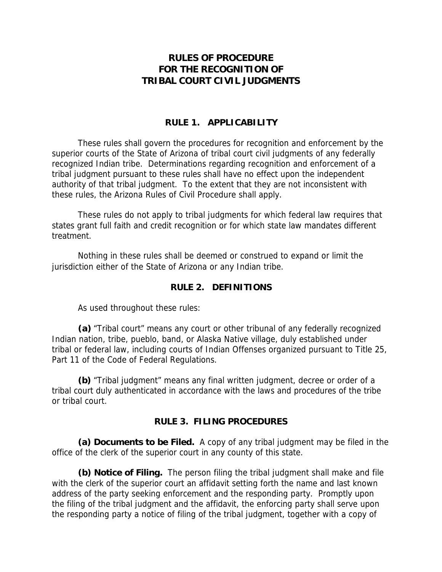# **RULES OF PROCEDURE FOR THE RECOGNITION OF TRIBAL COURT CIVIL JUDGMENTS**

## **RULE 1. APPLICABILITY**

These rules shall govern the procedures for recognition and enforcement by the superior courts of the State of Arizona of tribal court civil judgments of any federally recognized Indian tribe. Determinations regarding recognition and enforcement of a tribal judgment pursuant to these rules shall have no effect upon the independent authority of that tribal judgment. To the extent that they are not inconsistent with these rules, the Arizona Rules of Civil Procedure shall apply.

These rules do not apply to tribal judgments for which federal law requires that states grant full faith and credit recognition or for which state law mandates different treatment.

Nothing in these rules shall be deemed or construed to expand or limit the jurisdiction either of the State of Arizona or any Indian tribe.

## **RULE 2. DEFINITIONS**

As used throughout these rules:

**(a)** "Tribal court" means any court or other tribunal of any federally recognized Indian nation, tribe, pueblo, band, or Alaska Native village, duly established under tribal or federal law, including courts of Indian Offenses organized pursuant to Title 25, Part 11 of the Code of Federal Regulations.

**(b)** "Tribal judgment" means any final written judgment, decree or order of a tribal court duly authenticated in accordance with the laws and procedures of the tribe or tribal court.

## **RULE 3. FILING PROCEDURES**

**(a) Documents to be Filed.** A copy of any tribal judgment may be filed in the office of the clerk of the superior court in any county of this state.

**(b) Notice of Filing.** The person filing the tribal judgment shall make and file with the clerk of the superior court an affidavit setting forth the name and last known address of the party seeking enforcement and the responding party. Promptly upon the filing of the tribal judgment and the affidavit, the enforcing party shall serve upon the responding party a notice of filing of the tribal judgment, together with a copy of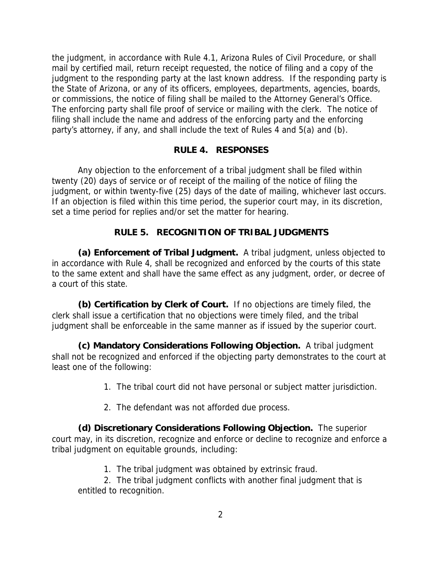the judgment, in accordance with Rule 4.1, Arizona Rules of Civil Procedure, or shall mail by certified mail, return receipt requested, the notice of filing and a copy of the judgment to the responding party at the last known address. If the responding party is the State of Arizona, or any of its officers, employees, departments, agencies, boards, or commissions, the notice of filing shall be mailed to the Attorney General's Office. The enforcing party shall file proof of service or mailing with the clerk. The notice of filing shall include the name and address of the enforcing party and the enforcing party's attorney, if any, and shall include the text of Rules 4 and 5(a) and (b).

### **RULE 4. RESPONSES**

Any objection to the enforcement of a tribal judgment shall be filed within twenty (20) days of service or of receipt of the mailing of the notice of filing the judgment, or within twenty-five (25) days of the date of mailing, whichever last occurs. If an objection is filed within this time period, the superior court may, in its discretion, set a time period for replies and/or set the matter for hearing.

### **RULE 5. RECOGNITION OF TRIBAL JUDGMENTS**

**(a) Enforcement of Tribal Judgment.** A tribal judgment, unless objected to in accordance with Rule 4, shall be recognized and enforced by the courts of this state to the same extent and shall have the same effect as any judgment, order, or decree of a court of this state.

**(b) Certification by Clerk of Court.** If no objections are timely filed, the clerk shall issue a certification that no objections were timely filed, and the tribal judgment shall be enforceable in the same manner as if issued by the superior court.

**(c) Mandatory Considerations Following Objection.** A tribal judgment shall not be recognized and enforced if the objecting party demonstrates to the court at least one of the following:

- 1. The tribal court did not have personal or subject matter jurisdiction.
- 2. The defendant was not afforded due process.

**(d) Discretionary Considerations Following Objection.** The superior court may, in its discretion, recognize and enforce or decline to recognize and enforce a tribal judgment on equitable grounds, including:

1. The tribal judgment was obtained by extrinsic fraud.

2. The tribal judgment conflicts with another final judgment that is entitled to recognition.